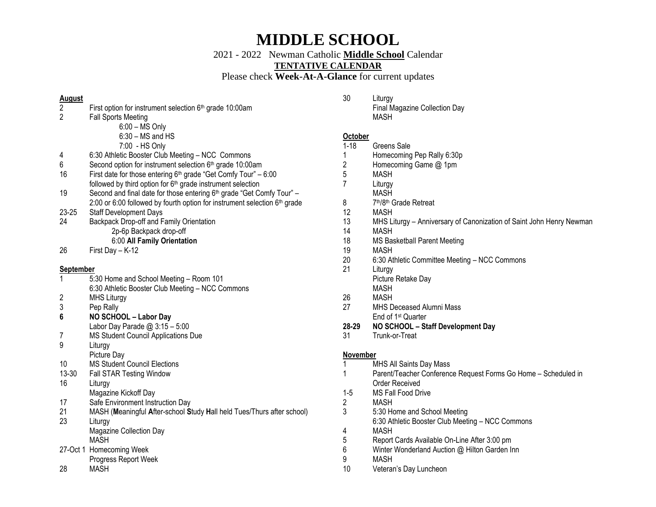2021 - 2022 Newman Catholic **Middle School** Calendar

**TENTATIVE CALENDAR**

Please check **Week-At-A-Glance** for current updates

### **August**

- First option for instrument selection 6<sup>th</sup> grade 10:00am
- 2 Fall Sports Meeting
	- 6:00 MS Only
	- 6:30 MS and HS
	- 7:00 HS Only
- 4 6:30 Athletic Booster Club Meeting NCC Commons
- 6 Second option for instrument selection  $6<sup>th</sup>$  grade 10:00am
- 16 First date for those entering  $6<sup>th</sup>$  grade "Get Comfy Tour" 6:00 followed by third option for 6th grade instrument selection
- 19 Second and final date for those entering  $6<sup>th</sup>$  grade "Get Comfy Tour" 2:00 or 6:00 followed by fourth option for instrument selection  $6<sup>th</sup>$  grade
- 23-25 Staff Development Days
- 24 Backpack Drop-off and Family Orientation 2p-6p Backpack drop-off 6:00 **All Family Orientation**
- 26 First Day K-12

#### **September**

- 1 5:30 Home and School Meeting Room 101 6:30 Athletic Booster Club Meeting – NCC Commons
- 2 MHS Liturgy
- 3 Pep Rally
- **6 NO SCHOOL – Labor Day**
- Labor Day Parade  $@3:15-5:00$
- 7 MS Student Council Applications Due
- 9 Liturgy
- Picture Day
- 10 MS Student Council Elections
- 13-30 Fall STAR Testing Window
- 16 Liturgy
	- Magazine Kickoff Day
- 17 Safe Environment Instruction Day
- 21 MASH (**M**eaningful **A**fter-school **S**tudy **H**all held Tues/Thurs after school) 23 Liturgy
	- Magazine Collection Day MASH
- 27-Oct 1 Homecoming Week
- Progress Report Week
- 28 MASH

30 Liturgy

Final Magazine Collection Day MASH

#### **October**

- 1-18 Greens Sale
- 1 Homecoming Pep Rally 6:30p
- 2 Homecoming Game @ 1pm
- 5 MASH
- 7 Liturgy
	- MASH
- 8 th/8th Grade Retreat
- 12 MASH
- 13 MHS Liturgy Anniversary of Canonization of Saint John Henry Newman
- 14 MASH
- 18 MS Basketball Parent Meeting
- 19 MASH
- 20 6:30 Athletic Committee Meeting NCC Commons
- 21 Liturgy Picture Retake Day
	- MASH
- 26 MASH
- 27 MHS Deceased Alumni Mass End of 1st Quarter
- **28-29 NO SCHOOL – Staff Development Day**
- 31 Trunk-or-Treat

#### **November**

- 1 MHS All Saints Day Mass
- 1 Parent/Teacher Conference Request Forms Go Home Scheduled in Order Received
- 1-5 MS Fall Food Drive
- 2 MASH
- 3 5:30 Home and School Meeting
	- 6:30 Athletic Booster Club Meeting NCC Commons
- 4 MASH
- 5 Report Cards Available On-Line After 3:00 pm
- 6 Winter Wonderland Auction @ Hilton Garden Inn
- 9 MASH
- 10 Veteran's Day Luncheon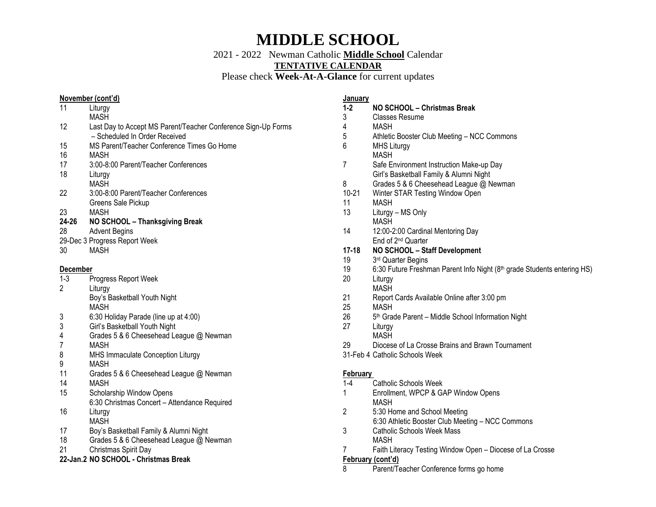2021 - 2022 Newman Catholic **Middle School** Calendar

**TENTATIVE CALENDAR**

Please check **Week-At-A-Glance** for current updates

#### **November (cont'd)**

| 11              | Liturgy<br><b>MASH</b>                                                                         |
|-----------------|------------------------------------------------------------------------------------------------|
| 12              | Last Day to Accept MS Parent/Teacher Conference Sign-Up Forms<br>- Scheduled In Order Received |
| 15              | MS Parent/Teacher Conference Times Go Home                                                     |
| 16              | <b>MASH</b>                                                                                    |
| 17              | 3:00-8:00 Parent/Teacher Conferences                                                           |
| 18              | Liturgy                                                                                        |
|                 | <b>MASH</b>                                                                                    |
| 22              | 3:00-8:00 Parent/Teacher Conferences                                                           |
|                 | Greens Sale Pickup                                                                             |
| 23              | <b>MASH</b>                                                                                    |
| 24-26           | NO SCHOOL - Thanksgiving Break                                                                 |
| 28              | <b>Advent Begins</b>                                                                           |
|                 | 29-Dec 3 Progress Report Week                                                                  |
| 30              | <b>MASH</b>                                                                                    |
|                 |                                                                                                |
| <u>December</u> |                                                                                                |
| $1-3$           | Progress Report Week                                                                           |
| 2               | Liturgy                                                                                        |
|                 | Boy's Basketball Youth Night                                                                   |
|                 | <b>MASH</b>                                                                                    |
| 3               | 6:30 Holiday Parade (line up at 4:00)                                                          |
| 3               | Girl's Basketball Youth Night                                                                  |
| 4               | Grades 5 & 6 Cheesehead League @ Newman                                                        |
| 7               | <b>MASH</b>                                                                                    |
| 8               | MHS Immaculate Conception Liturgy                                                              |
| 9               | <b>MASH</b>                                                                                    |
| 11              | Grades 5 & 6 Cheesehead League @ Newman                                                        |
| 14              | <b>MASH</b>                                                                                    |
| 15              | Scholarship Window Opens                                                                       |
|                 | 6:30 Christmas Concert - Attendance Required                                                   |
| 16              | Liturgy                                                                                        |
|                 | <b>MASH</b>                                                                                    |
| 17              | Boy's Basketball Family & Alumni Night                                                         |

- 18 Grades 5 & 6 Cheesehead League @ Newman
- 21 Christmas Spirit Day

#### **22-Jan.2 NO SCHOOL - Christmas Break**

#### **January**

- **1-2 NO SCHOOL – Christmas Break**
- 3 Classes Resume
- 4 MASH
- 5 Athletic Booster Club Meeting NCC Commons
- 6 MHS Liturgy
- MASH
- 7 Safe Environment Instruction Make-up Day Girl's Basketball Family & Alumni Night
- 8 Grades 5 & 6 Cheesehead League @ Newman
- 10-21 Winter STAR Testing Window Open
- 11 MASH
- 13 Liturgy MS Only MASH
- 14 12:00-2:00 Cardinal Mentoring Day End of 2nd Quarter
- **17-18 NO SCHOOL – Staff Development**
- $19<sup>2</sup>$ 3rd Quarter Begins
- 19 6:30 Future Freshman Parent Info Night (8th grade Students entering HS)
- 20 Liturgy MASH
- 21 Report Cards Available Online after 3:00 pm
- 25 MASH
- $26<sup>2</sup>$ 5<sup>th</sup> Grade Parent – Middle School Information Night
- 27 Liturgy
- MASH
- 29 Diocese of La Crosse Brains and Brawn Tournament
- 31-Feb 4 Catholic Schools Week

### **February**

- 1-4 Catholic Schools Week
- 1 Enrollment, WPCP & GAP Window Opens MASH
- 2 5:30 Home and School Meeting 6:30 Athletic Booster Club Meeting – NCC Commons
- 3 Catholic Schools Week Mass MASH
- 7 Faith Literacy Testing Window Open Diocese of La Crosse

### **February (cont'd)**

8 Parent/Teacher Conference forms go home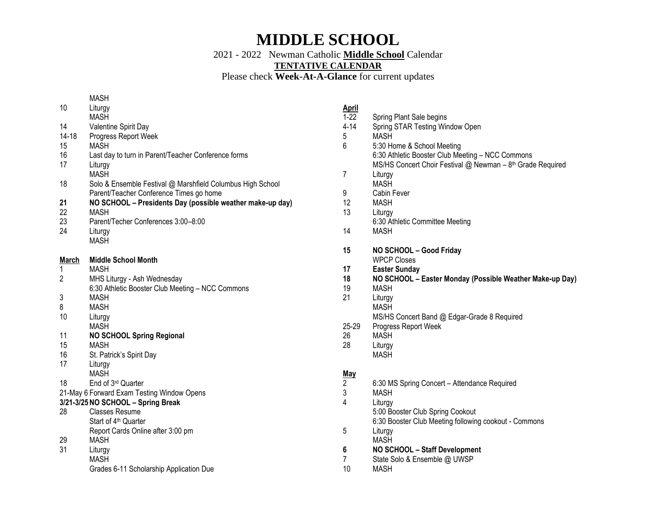2021 - 2022 Newman Catholic **Middle School** Calendar

**TENTATIVE CALENDAR**

Please check **Week-At-A-Glance** for current updates

### MASH

| 10                                 | Liturgy<br><b>MASH</b>                                     |  |
|------------------------------------|------------------------------------------------------------|--|
| 14                                 | Valentine Spirit Day                                       |  |
| 14-18                              | Progress Report Week                                       |  |
| 15                                 | <b>MASH</b>                                                |  |
| 16                                 | Last day to turn in Parent/Teacher Conference forms        |  |
| 17                                 | Liturgy                                                    |  |
|                                    | <b>MASH</b>                                                |  |
| 18                                 | Solo & Ensemble Festival @ Marshfield Columbus High School |  |
|                                    | Parent/Teacher Conference Times go home                    |  |
| 21                                 | NO SCHOOL - Presidents Day (possible weather make-up day)  |  |
| 22                                 | <b>MASH</b>                                                |  |
| 23                                 | Parent/Techer Conferences 3:00-8:00                        |  |
| 24                                 | Liturgy                                                    |  |
|                                    | <b>MASH</b>                                                |  |
| <b>March</b>                       | <b>Middle School Month</b>                                 |  |
| 1                                  | <b>MASH</b>                                                |  |
| 2                                  | MHS Liturgy - Ash Wednesday                                |  |
|                                    | 6:30 Athletic Booster Club Meeting - NCC Commons           |  |
| 3                                  | <b>MASH</b>                                                |  |
| 8                                  | <b>MASH</b>                                                |  |
| 10                                 | Liturgy                                                    |  |
| 11                                 | <b>MASH</b>                                                |  |
| 15                                 | <b>NO SCHOOL Spring Regional</b><br><b>MASH</b>            |  |
| 16                                 | St. Patrick's Spirit Day                                   |  |
| 17                                 | Liturgy                                                    |  |
|                                    | <b>MASH</b>                                                |  |
| 18                                 | End of 3rd Quarter                                         |  |
|                                    | 21-May 6 Forward Exam Testing Window Opens                 |  |
| 3/21-3/25 NO SCHOOL - Spring Break |                                                            |  |
| 28                                 | <b>Classes Resume</b>                                      |  |
|                                    | Start of 4 <sup>th</sup> Quarter                           |  |
|                                    | Report Cards Online after 3:00 pm                          |  |
| 29                                 | MASH                                                       |  |
| 31                                 | Liturgy                                                    |  |
|                                    | MASH                                                       |  |
|                                    |                                                            |  |
|                                    | Grades 6-11 Scholarship Application Due                    |  |

## **April**

| $1-22$         | Spring Plant Sale begins                                                |
|----------------|-------------------------------------------------------------------------|
| $4 - 14$       | Spring STAR Testing Window Open                                         |
| 5              | <b>MASH</b>                                                             |
| 6              | 5:30 Home & School Meeting                                              |
|                | 6:30 Athletic Booster Club Meeting - NCC Commons                        |
|                | MS/HS Concert Choir Festival @ Newman - 8 <sup>th</sup> Grade Required  |
| 7              | Liturgy<br><b>MASH</b>                                                  |
| 9              | Cabin Fever                                                             |
| 12             | <b>MASH</b>                                                             |
| 13             | Liturgy                                                                 |
|                | 6:30 Athletic Committee Meeting                                         |
| 14             | <b>MASH</b>                                                             |
|                |                                                                         |
| 15             | NO SCHOOL - Good Friday                                                 |
|                | <b>WPCP Closes</b>                                                      |
| 17             | <b>Easter Sunday</b>                                                    |
| 18<br>19       | NO SCHOOL - Easter Monday (Possible Weather Make-up Day)<br><b>MASH</b> |
| 21             | Liturgy                                                                 |
|                | <b>MASH</b>                                                             |
|                | MS/HS Concert Band @ Edgar-Grade 8 Required                             |
| 25-29          | Progress Report Week                                                    |
| 26             | <b>MASH</b>                                                             |
| 28             | Liturgy                                                                 |
|                | <b>MASH</b>                                                             |
|                |                                                                         |
| <b>May</b>     |                                                                         |
| 2              | 6:30 MS Spring Concert - Attendance Required<br><b>MASH</b>             |
| 3<br>4         |                                                                         |
|                | Liturgy<br>5:00 Booster Club Spring Cookout                             |
|                | 6:30 Booster Club Meeting following cookout - Commons                   |
| 5              | Liturgy                                                                 |
|                | <b>MASH</b>                                                             |
| 6              | NO SCHOOL - Staff Development                                           |
| $\overline{7}$ | State Solo & Ensemble @ UWSP                                            |
| 10             | <b>MASH</b>                                                             |